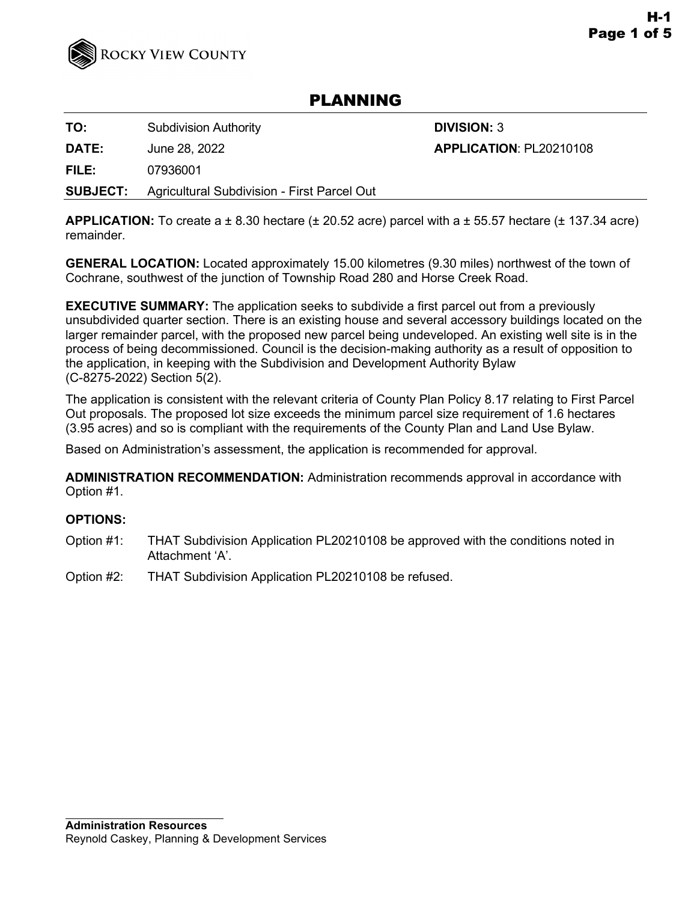

# PLANNING

**TO:** Subdivision Authority **DIVISION: 3** 

**DATE:** June 28, 2022 **APPLICATION**: PL20210108

**FILE:** 07936001

**SUBJECT:** Agricultural Subdivision - First Parcel Out

**APPLICATION:** To create  $a \pm 8.30$  hectare  $(\pm 20.52$  acre) parcel with  $a \pm 55.57$  hectare  $(\pm 137.34$  acre) remainder.

**GENERAL LOCATION:** Located approximately 15.00 kilometres (9.30 miles) northwest of the town of Cochrane, southwest of the junction of Township Road 280 and Horse Creek Road.

**EXECUTIVE SUMMARY:** The application seeks to subdivide a first parcel out from a previously unsubdivided quarter section. There is an existing house and several accessory buildings located on the larger remainder parcel, with the proposed new parcel being undeveloped. An existing well site is in the process of being decommissioned. Council is the decision-making authority as a result of opposition to the application, in keeping with the Subdivision and Development Authority Bylaw (C-8275-2022) Section 5(2).

The application is consistent with the relevant criteria of County Plan Policy 8.17 relating to First Parcel Out proposals. The proposed lot size exceeds the minimum parcel size requirement of 1.6 hectares (3.95 acres) and so is compliant with the requirements of the County Plan and Land Use Bylaw.

Based on Administration's assessment, the application is recommended for approval.

**ADMINISTRATION RECOMMENDATION:** Administration recommends approval in accordance with Option #1.

# **OPTIONS:**

- Option #1: THAT Subdivision Application PL20210108 be approved with the conditions noted in Attachment 'A'.
- Option #2: THAT Subdivision Application PL20210108 be refused.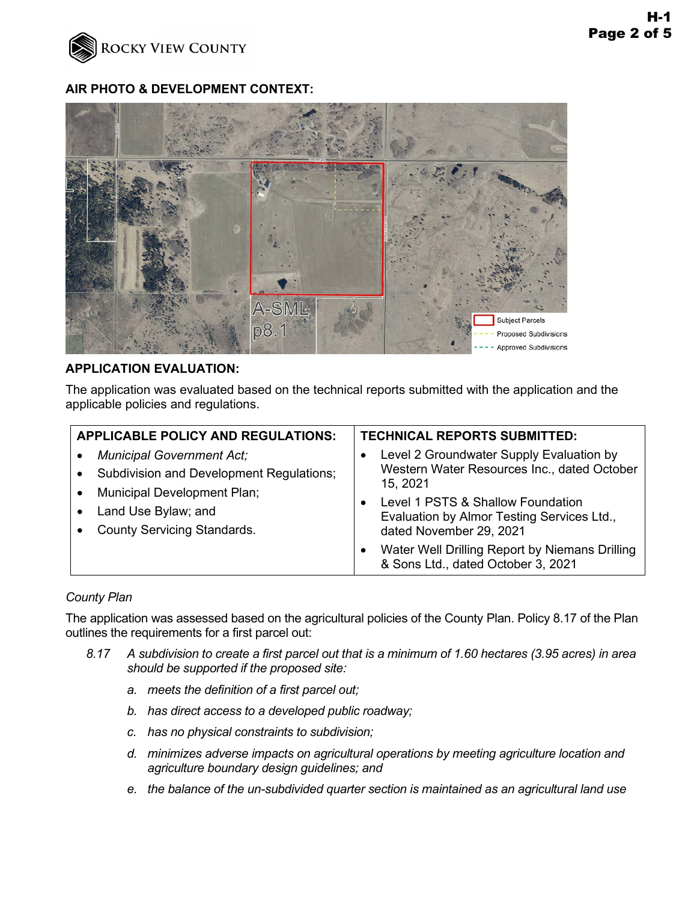

## **AIR PHOTO & DEVELOPMENT CONTEXT:**



#### **APPLICATION EVALUATION:**

The application was evaluated based on the technical reports submitted with the application and the applicable policies and regulations.

| <b>APPLICABLE POLICY AND REGULATIONS:</b>                                                                          |                                                                                                     | <b>TECHNICAL REPORTS SUBMITTED:</b>                                                                        |
|--------------------------------------------------------------------------------------------------------------------|-----------------------------------------------------------------------------------------------------|------------------------------------------------------------------------------------------------------------|
| <b>Municipal Government Act;</b><br><b>Subdivision and Development Regulations;</b><br>Municipal Development Plan; | Level 2 Groundwater Supply Evaluation by<br>Western Water Resources Inc., dated October<br>15, 2021 |                                                                                                            |
| Land Use Bylaw; and<br><b>County Servicing Standards.</b>                                                          |                                                                                                     | Level 1 PSTS & Shallow Foundation<br>Evaluation by Almor Testing Services Ltd.,<br>dated November 29, 2021 |
|                                                                                                                    |                                                                                                     | Water Well Drilling Report by Niemans Drilling<br>& Sons Ltd., dated October 3, 2021                       |

## *County Plan*

The application was assessed based on the agricultural policies of the County Plan. Policy 8.17 of the Plan outlines the requirements for a first parcel out:

- *8.17 A subdivision to create a first parcel out that is a minimum of 1.60 hectares (3.95 acres) in area should be supported if the proposed site:* 
	- *a. meets the definition of a first parcel out;*
	- *b. has direct access to a developed public roadway;*
	- *c. has no physical constraints to subdivision;*
	- *d. minimizes adverse impacts on agricultural operations by meeting agriculture location and agriculture boundary design guidelines; and*
	- *e. the balance of the un-subdivided quarter section is maintained as an agricultural land use*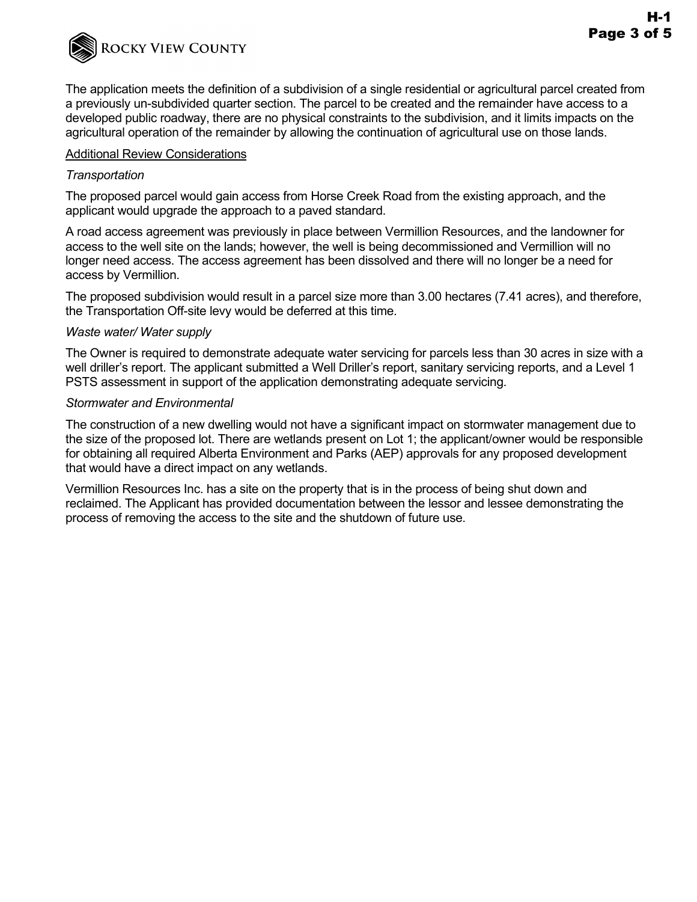

The application meets the definition of a subdivision of a single residential or agricultural parcel created from a previously un-subdivided quarter section. The parcel to be created and the remainder have access to a developed public roadway, there are no physical constraints to the subdivision, and it limits impacts on the agricultural operation of the remainder by allowing the continuation of agricultural use on those lands.

#### Additional Review Considerations

### *Transportation*

The proposed parcel would gain access from Horse Creek Road from the existing approach, and the applicant would upgrade the approach to a paved standard.

A road access agreement was previously in place between Vermillion Resources, and the landowner for access to the well site on the lands; however, the well is being decommissioned and Vermillion will no longer need access. The access agreement has been dissolved and there will no longer be a need for access by Vermillion.

The proposed subdivision would result in a parcel size more than 3.00 hectares (7.41 acres), and therefore, the Transportation Off-site levy would be deferred at this time.

#### *Waste water/ Water supply*

The Owner is required to demonstrate adequate water servicing for parcels less than 30 acres in size with a well driller's report. The applicant submitted a Well Driller's report, sanitary servicing reports, and a Level 1 PSTS assessment in support of the application demonstrating adequate servicing.

#### *Stormwater and Environmental*

The construction of a new dwelling would not have a significant impact on stormwater management due to the size of the proposed lot. There are wetlands present on Lot 1; the applicant/owner would be responsible for obtaining all required Alberta Environment and Parks (AEP) approvals for any proposed development that would have a direct impact on any wetlands.

Vermillion Resources Inc. has a site on the property that is in the process of being shut down and reclaimed. The Applicant has provided documentation between the lessor and lessee demonstrating the process of removing the access to the site and the shutdown of future use.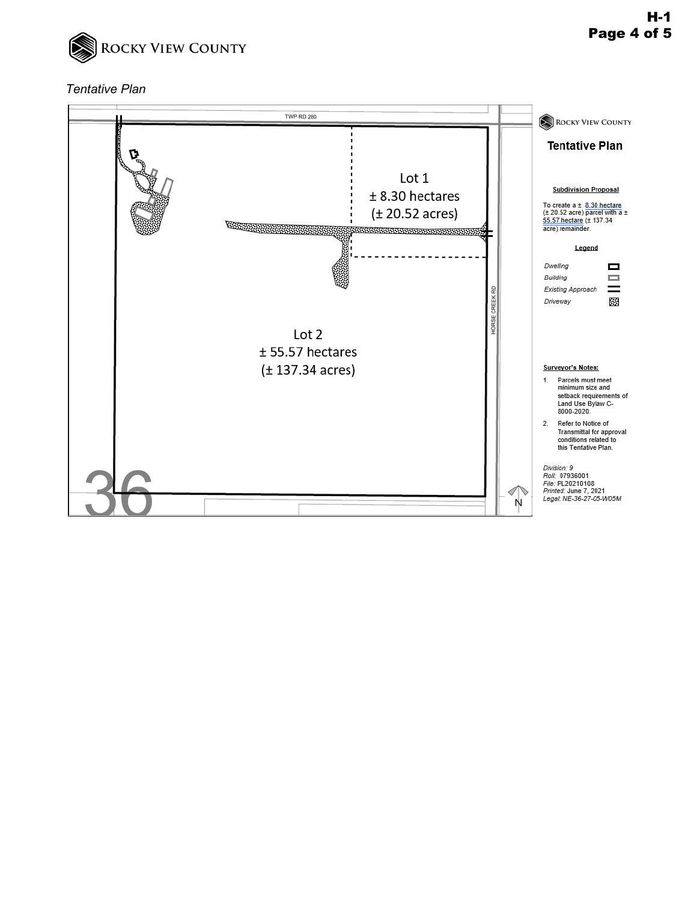

## *Tentative Plan*